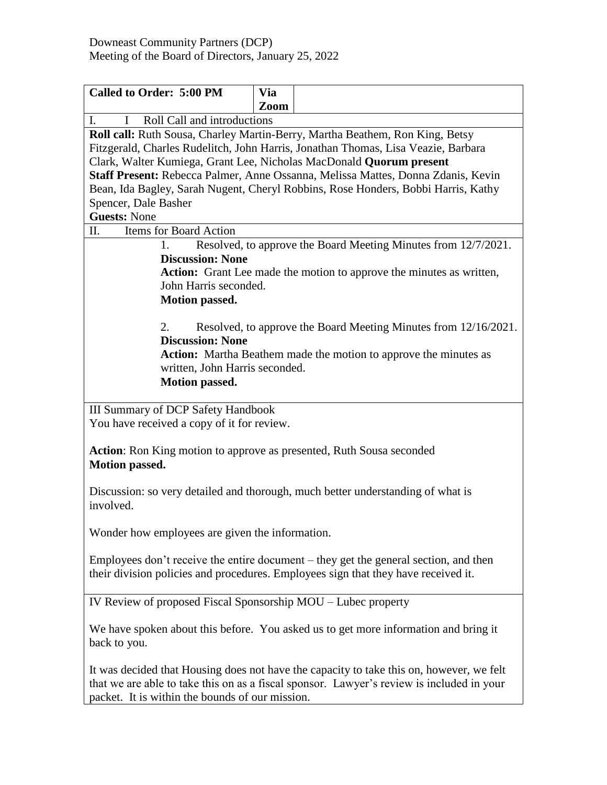| <b>Called to Order: 5:00 PM</b>                                                                 | <b>Via</b> |                                                                                           |  |  |
|-------------------------------------------------------------------------------------------------|------------|-------------------------------------------------------------------------------------------|--|--|
|                                                                                                 | Zoom       |                                                                                           |  |  |
| Roll Call and introductions<br>$\mathbf{I}$ .<br>$\mathbf{I}$                                   |            |                                                                                           |  |  |
| Roll call: Ruth Sousa, Charley Martin-Berry, Martha Beathem, Ron King, Betsy                    |            |                                                                                           |  |  |
|                                                                                                 |            | Fitzgerald, Charles Rudelitch, John Harris, Jonathan Thomas, Lisa Veazie, Barbara         |  |  |
| Clark, Walter Kumiega, Grant Lee, Nicholas MacDonald Quorum present                             |            |                                                                                           |  |  |
|                                                                                                 |            | Staff Present: Rebecca Palmer, Anne Ossanna, Melissa Mattes, Donna Zdanis, Kevin          |  |  |
| Bean, Ida Bagley, Sarah Nugent, Cheryl Robbins, Rose Honders, Bobbi Harris, Kathy               |            |                                                                                           |  |  |
| Spencer, Dale Basher                                                                            |            |                                                                                           |  |  |
| <b>Guests: None</b>                                                                             |            |                                                                                           |  |  |
| <b>Items for Board Action</b><br>II.                                                            |            |                                                                                           |  |  |
| 1.                                                                                              |            | Resolved, to approve the Board Meeting Minutes from 12/7/2021.                            |  |  |
| <b>Discussion: None</b><br>Action: Grant Lee made the motion to approve the minutes as written, |            |                                                                                           |  |  |
| John Harris seconded.                                                                           |            |                                                                                           |  |  |
| <b>Motion passed.</b>                                                                           |            |                                                                                           |  |  |
|                                                                                                 |            |                                                                                           |  |  |
| 2.<br>Resolved, to approve the Board Meeting Minutes from 12/16/2021.                           |            |                                                                                           |  |  |
| <b>Discussion: None</b>                                                                         |            |                                                                                           |  |  |
|                                                                                                 |            | <b>Action:</b> Martha Beathem made the motion to approve the minutes as                   |  |  |
| written, John Harris seconded.                                                                  |            |                                                                                           |  |  |
| <b>Motion passed.</b>                                                                           |            |                                                                                           |  |  |
|                                                                                                 |            |                                                                                           |  |  |
| <b>III Summary of DCP Safety Handbook</b>                                                       |            |                                                                                           |  |  |
| You have received a copy of it for review.                                                      |            |                                                                                           |  |  |
| Action: Ron King motion to approve as presented, Ruth Sousa seconded                            |            |                                                                                           |  |  |
| <b>Motion passed.</b>                                                                           |            |                                                                                           |  |  |
|                                                                                                 |            |                                                                                           |  |  |
| involved.                                                                                       |            | Discussion: so very detailed and thorough, much better understanding of what is           |  |  |
|                                                                                                 |            |                                                                                           |  |  |
| Wonder how employees are given the information.                                                 |            |                                                                                           |  |  |
|                                                                                                 |            |                                                                                           |  |  |
| Employees don't receive the entire document $-$ they get the general section, and then          |            |                                                                                           |  |  |
| their division policies and procedures. Employees sign that they have received it.              |            |                                                                                           |  |  |
|                                                                                                 |            |                                                                                           |  |  |
| IV Review of proposed Fiscal Sponsorship MOU – Lubec property                                   |            |                                                                                           |  |  |
|                                                                                                 |            |                                                                                           |  |  |
| We have spoken about this before. You asked us to get more information and bring it             |            |                                                                                           |  |  |
| back to you.                                                                                    |            |                                                                                           |  |  |
| It was decided that Housing does not have the capacity to take this on, however, we felt        |            |                                                                                           |  |  |
|                                                                                                 |            | that we are able to take this on as a fiscal sponsor. Lawyer's review is included in your |  |  |
| packet. It is within the bounds of our mission.                                                 |            |                                                                                           |  |  |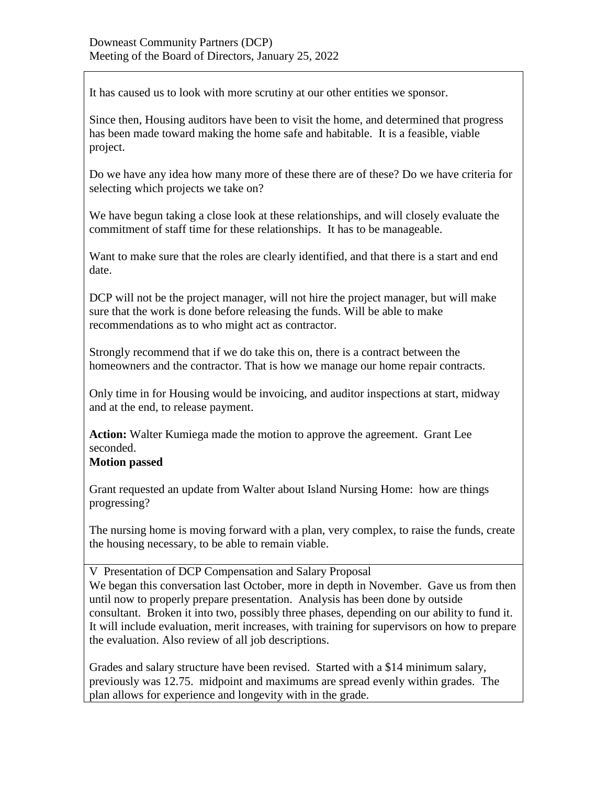It has caused us to look with more scrutiny at our other entities we sponsor.

Since then, Housing auditors have been to visit the home, and determined that progress has been made toward making the home safe and habitable. It is a feasible, viable project.

Do we have any idea how many more of these there are of these? Do we have criteria for selecting which projects we take on?

We have begun taking a close look at these relationships, and will closely evaluate the commitment of staff time for these relationships. It has to be manageable.

Want to make sure that the roles are clearly identified, and that there is a start and end date.

DCP will not be the project manager, will not hire the project manager, but will make sure that the work is done before releasing the funds. Will be able to make recommendations as to who might act as contractor.

Strongly recommend that if we do take this on, there is a contract between the homeowners and the contractor. That is how we manage our home repair contracts.

Only time in for Housing would be invoicing, and auditor inspections at start, midway and at the end, to release payment.

**Action:** Walter Kumiega made the motion to approve the agreement. Grant Lee seconded.

## **Motion passed**

Grant requested an update from Walter about Island Nursing Home: how are things progressing?

The nursing home is moving forward with a plan, very complex, to raise the funds, create the housing necessary, to be able to remain viable.

V Presentation of DCP Compensation and Salary Proposal We began this conversation last October, more in depth in November. Gave us from then until now to properly prepare presentation. Analysis has been done by outside consultant. Broken it into two, possibly three phases, depending on our ability to fund it. It will include evaluation, merit increases, with training for supervisors on how to prepare the evaluation. Also review of all job descriptions.

Grades and salary structure have been revised. Started with a \$14 minimum salary, previously was 12.75. midpoint and maximums are spread evenly within grades. The plan allows for experience and longevity with in the grade.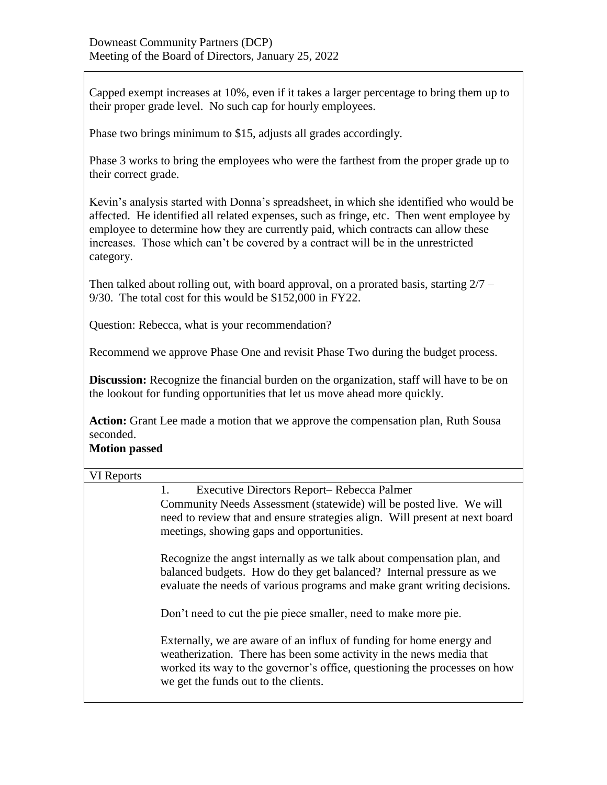Capped exempt increases at 10%, even if it takes a larger percentage to bring them up to their proper grade level. No such cap for hourly employees.

Phase two brings minimum to \$15, adjusts all grades accordingly.

Phase 3 works to bring the employees who were the farthest from the proper grade up to their correct grade.

Kevin's analysis started with Donna's spreadsheet, in which she identified who would be affected. He identified all related expenses, such as fringe, etc. Then went employee by employee to determine how they are currently paid, which contracts can allow these increases. Those which can't be covered by a contract will be in the unrestricted category.

Then talked about rolling out, with board approval, on a prorated basis, starting  $2/7 -$ 9/30. The total cost for this would be \$152,000 in FY22.

Question: Rebecca, what is your recommendation?

Recommend we approve Phase One and revisit Phase Two during the budget process.

**Discussion:** Recognize the financial burden on the organization, staff will have to be on the lookout for funding opportunities that let us move ahead more quickly.

**Action:** Grant Lee made a motion that we approve the compensation plan, Ruth Sousa seconded.

## **Motion passed**

| VI Reports |                                                                                                                                                                                                                                                                  |  |
|------------|------------------------------------------------------------------------------------------------------------------------------------------------------------------------------------------------------------------------------------------------------------------|--|
|            | Executive Directors Report-Rebecca Palmer<br>1.<br>Community Needs Assessment (statewide) will be posted live. We will<br>need to review that and ensure strategies align. Will present at next board<br>meetings, showing gaps and opportunities.               |  |
|            | Recognize the angst internally as we talk about compensation plan, and<br>balanced budgets. How do they get balanced? Internal pressure as we<br>evaluate the needs of various programs and make grant writing decisions.                                        |  |
|            | Don't need to cut the pie piece smaller, need to make more pie.                                                                                                                                                                                                  |  |
|            | Externally, we are aware of an influx of funding for home energy and<br>weatherization. There has been some activity in the news media that<br>worked its way to the governor's office, questioning the processes on how<br>we get the funds out to the clients. |  |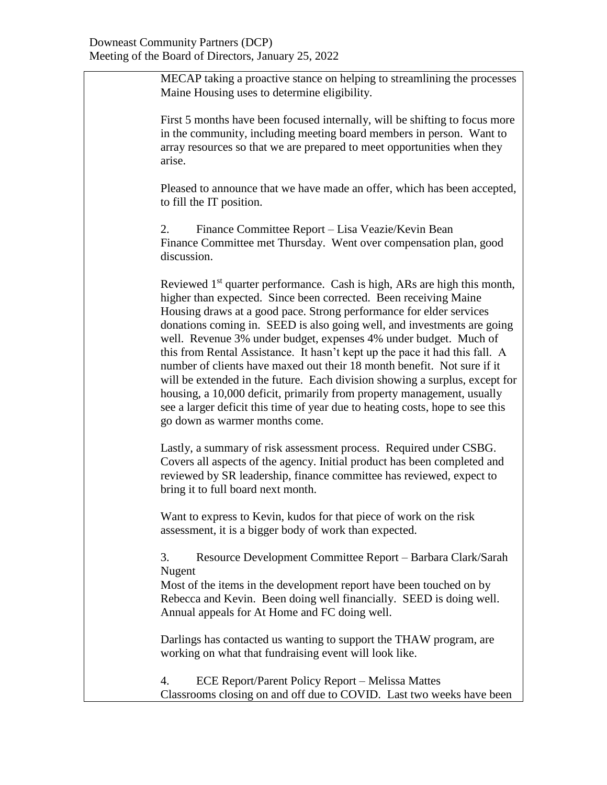MECAP taking a proactive stance on helping to streamlining the processes Maine Housing uses to determine eligibility.

First 5 months have been focused internally, will be shifting to focus more in the community, including meeting board members in person. Want to array resources so that we are prepared to meet opportunities when they arise.

Pleased to announce that we have made an offer, which has been accepted, to fill the IT position.

2. Finance Committee Report – Lisa Veazie/Kevin Bean Finance Committee met Thursday. Went over compensation plan, good discussion.

Reviewed  $1<sup>st</sup>$  quarter performance. Cash is high, ARs are high this month, higher than expected. Since been corrected. Been receiving Maine Housing draws at a good pace. Strong performance for elder services donations coming in. SEED is also going well, and investments are going well. Revenue 3% under budget, expenses 4% under budget. Much of this from Rental Assistance. It hasn't kept up the pace it had this fall. A number of clients have maxed out their 18 month benefit. Not sure if it will be extended in the future. Each division showing a surplus, except for housing, a 10,000 deficit, primarily from property management, usually see a larger deficit this time of year due to heating costs, hope to see this go down as warmer months come.

Lastly, a summary of risk assessment process. Required under CSBG. Covers all aspects of the agency. Initial product has been completed and reviewed by SR leadership, finance committee has reviewed, expect to bring it to full board next month.

Want to express to Kevin, kudos for that piece of work on the risk assessment, it is a bigger body of work than expected.

3. Resource Development Committee Report – Barbara Clark/Sarah Nugent

Most of the items in the development report have been touched on by Rebecca and Kevin. Been doing well financially. SEED is doing well. Annual appeals for At Home and FC doing well.

Darlings has contacted us wanting to support the THAW program, are working on what that fundraising event will look like.

4. ECE Report/Parent Policy Report – Melissa Mattes Classrooms closing on and off due to COVID. Last two weeks have been